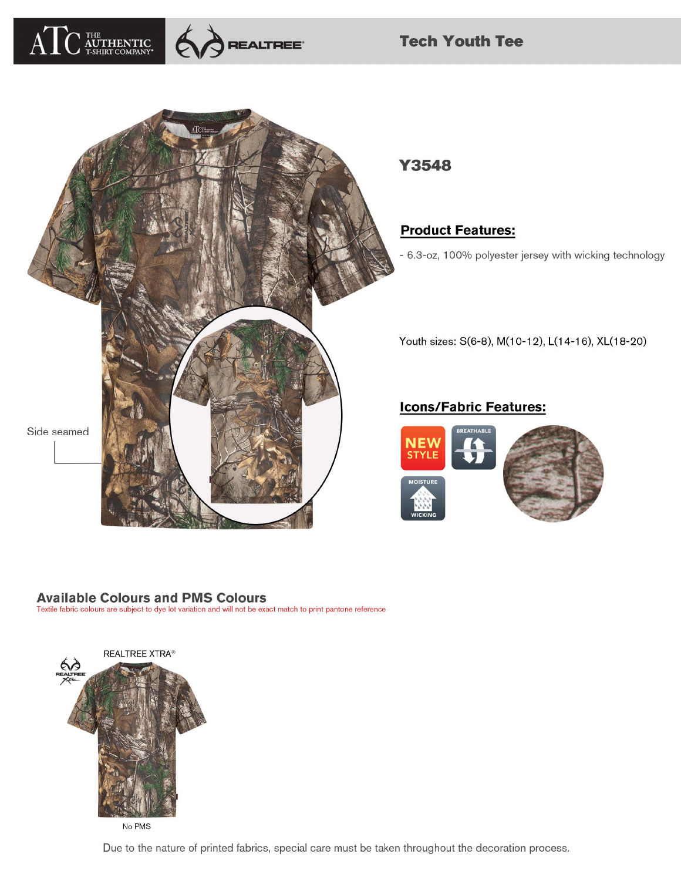



**Tech Youth Tee** 



Y3548

**Product Features:** 

- 6.3-oz, 100% polyester jersey with wicking technology

Youth sizes: S(6-8), M(10-12), L(14-16), XL(18-20)

## **Icons/Fabric Features:**



#### **Available Colours and PMS Colours**

Textile fabric colours are subject to dye lot variation and will not be exact match to print pantone reference



No PMS

Due to the nature of printed fabrics, special care must be taken throughout the decoration process.